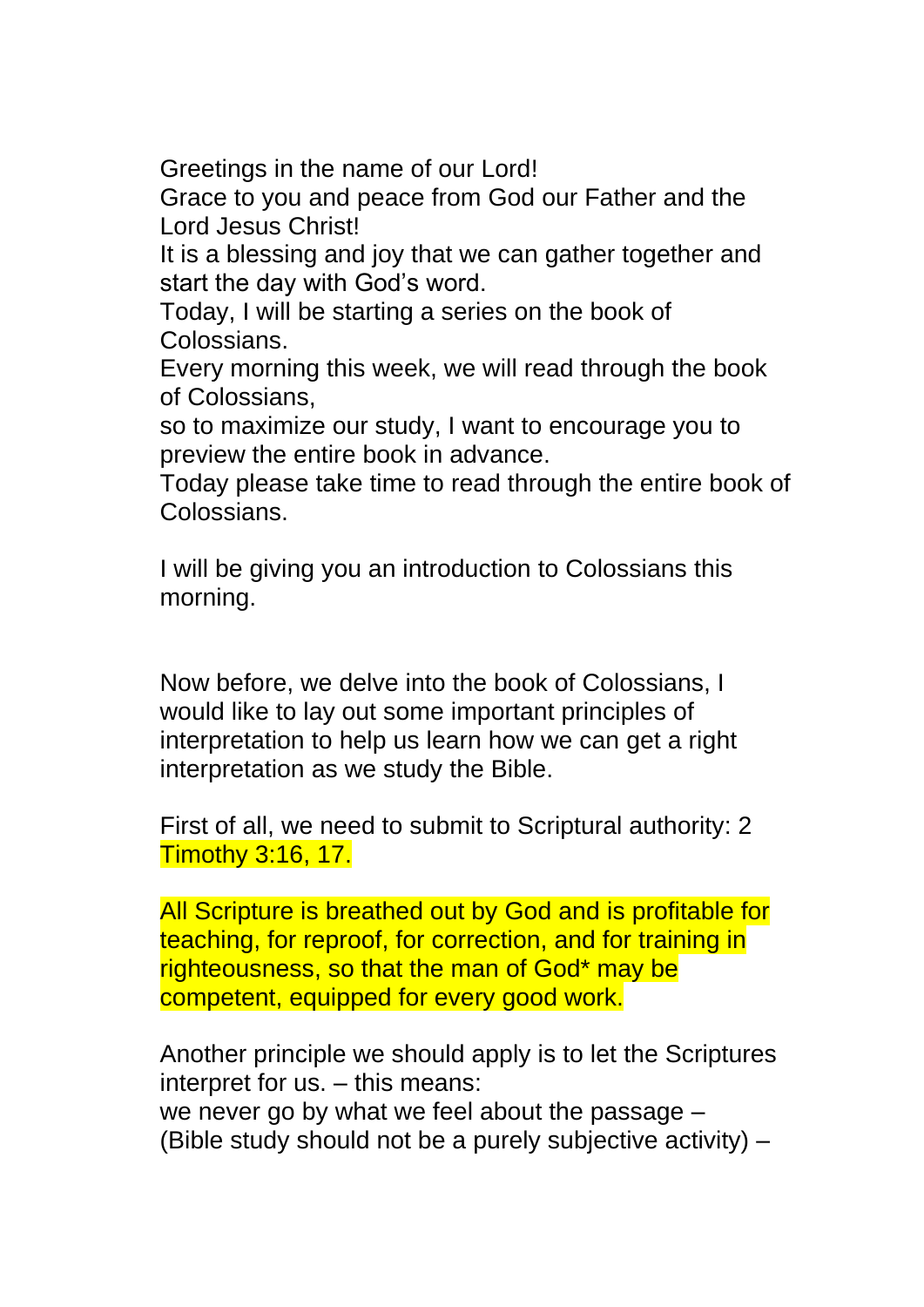Greetings in the name of our Lord!

Grace to you and peace from God our Father and the Lord Jesus Christ!

It is a blessing and joy that we can gather together and start the day with God's word.

Today, I will be starting a series on the book of Colossians.

Every morning this week, we will read through the book of Colossians,

so to maximize our study, I want to encourage you to preview the entire book in advance.

Today please take time to read through the entire book of Colossians.

I will be giving you an introduction to Colossians this morning.

Now before, we delve into the book of Colossians, I would like to lay out some important principles of interpretation to help us learn how we can get a right interpretation as we study the Bible.

First of all, we need to submit to Scriptural authority: 2 Timothy 3:16, 17.

All Scripture is breathed out by God and is profitable for teaching, for reproof, for correction, and for training in righteousness, so that the man of God<sup>\*</sup> may be competent, equipped for every good work.

Another principle we should apply is to let the Scriptures interpret for us. – this means: we never go by what we feel about the passage  $-$ (Bible study should not be a purely subjective activity) –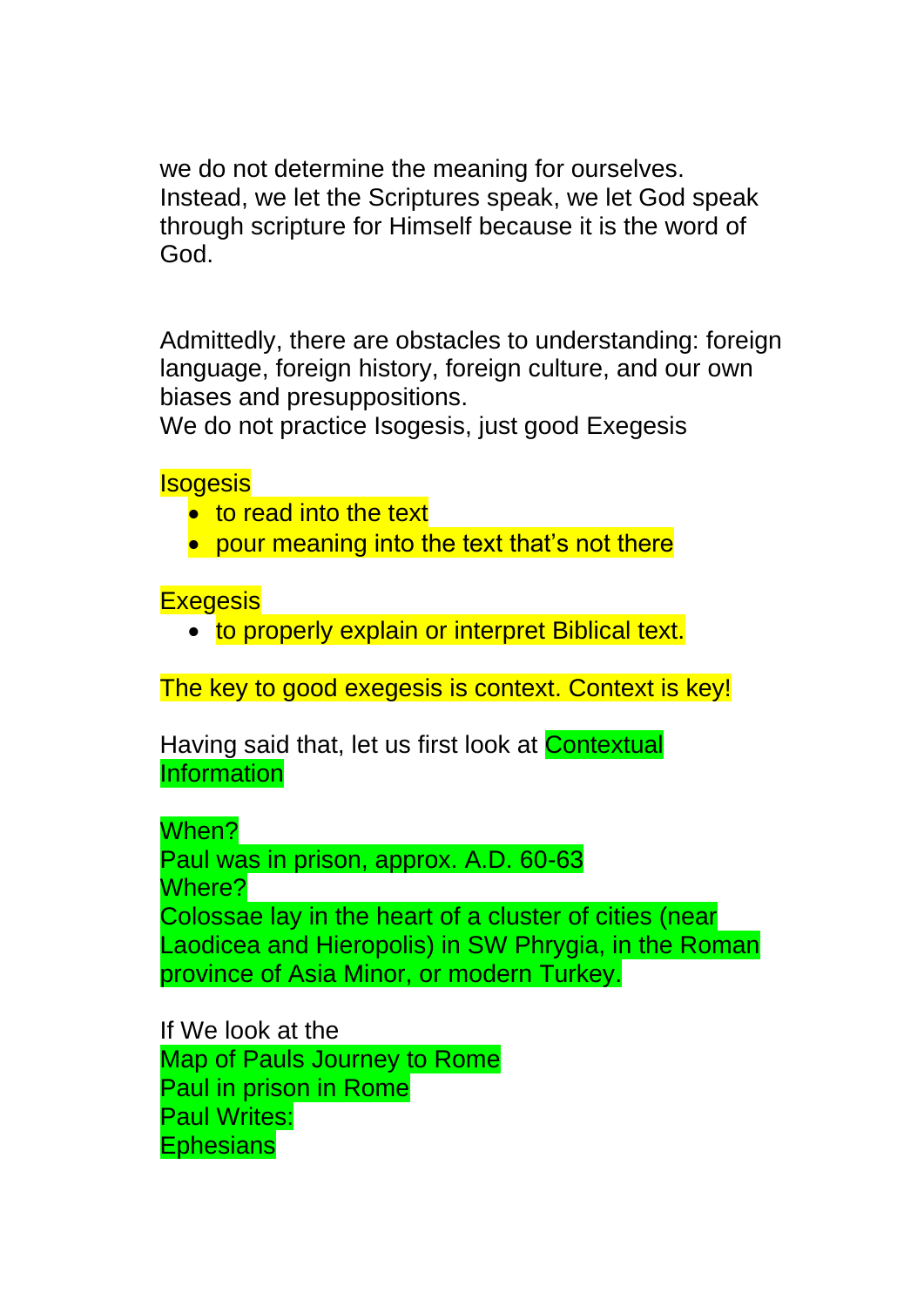we do not determine the meaning for ourselves. Instead, we let the Scriptures speak, we let God speak through scripture for Himself because it is the word of God.

Admittedly, there are obstacles to understanding: foreign language, foreign history, foreign culture, and our own biases and presuppositions.

We do not practice Isogesis, just good Exegesis

**Isogesis** 

- to read into the text
- pour meaning into the text that's not there

**Exegesis** 

• to properly explain or interpret Biblical text.

The key to good exegesis is context. Context is key!

Having said that, let us first look at **Contextual Information** 

When? Paul was in prison, approx. A.D. 60-63 Where? Colossae lay in the heart of a cluster of cities (near Laodicea and Hieropolis) in SW Phrygia, in the Roman province of Asia Minor, or modern Turkey.

If We look at the Map of Pauls Journey to Rome Paul in prison in Rome Paul Writes: **Ephesians**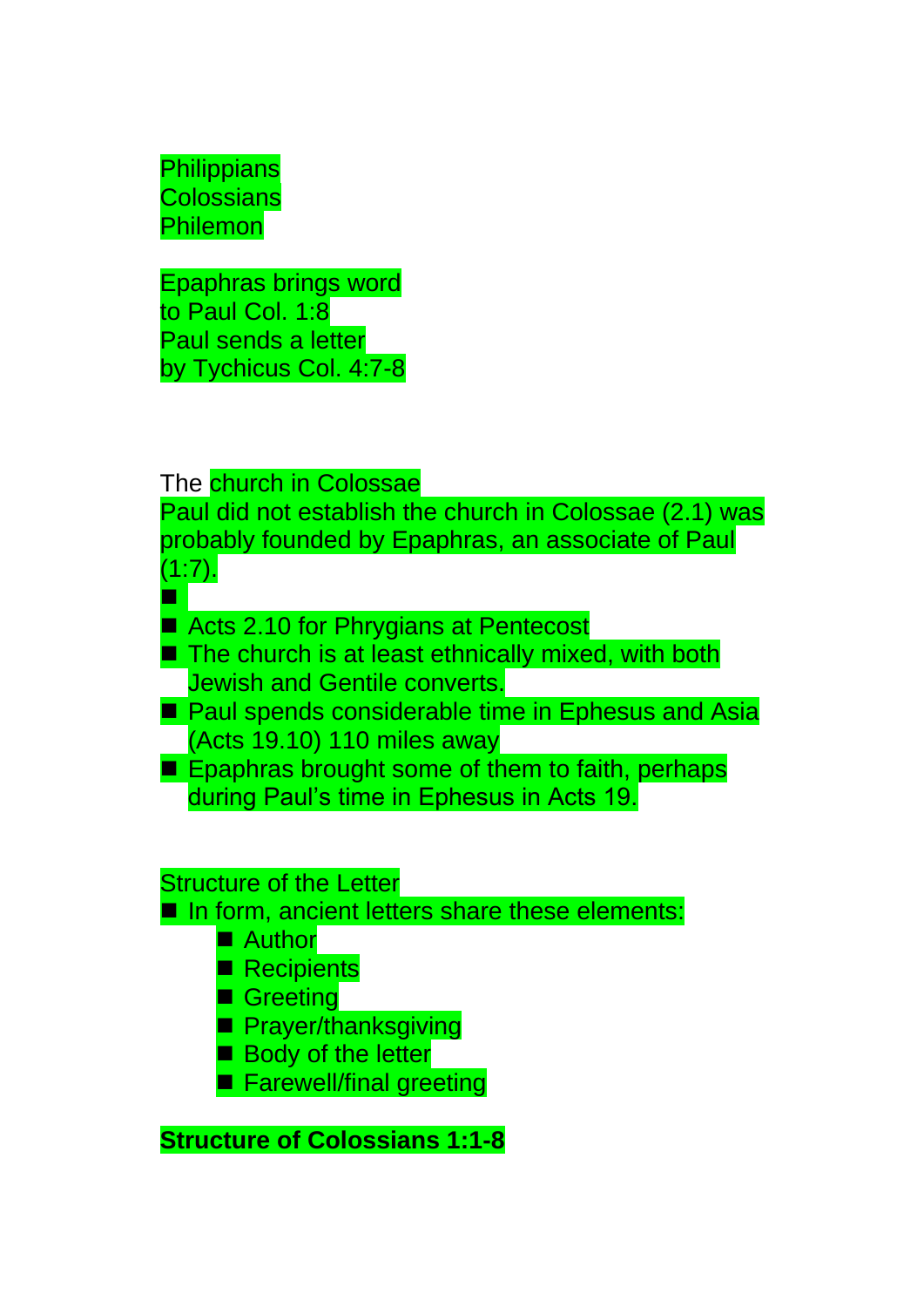## **Philippians Colossians** Philemon

Epaphras brings word to Paul Col. 1:8 Paul sends a letter by Tychicus Col. 4:7-8

The church in Colossae

Paul did not establish the church in Colossae (2.1) was probably founded by Epaphras, an associate of Paul  $(1:7)$ .

- ◾
- Acts 2.10 for Phrygians at Pentecost
- The church is at least ethnically mixed, with both Jewish and Gentile converts.
- Paul spends considerable time in Ephesus and Asia (Acts 19.10) 110 miles away

■ Epaphras brought some of them to faith, perhaps during Paul's time in Ephesus in Acts 19.

#### Structure of the Letter

■ In form, ancient letters share these elements:

- Author
- Recipients
- Greeting
- Prayer/thanksgiving
- Body of the letter
- Farewell/final greeting

**Structure of Colossians 1:1-8**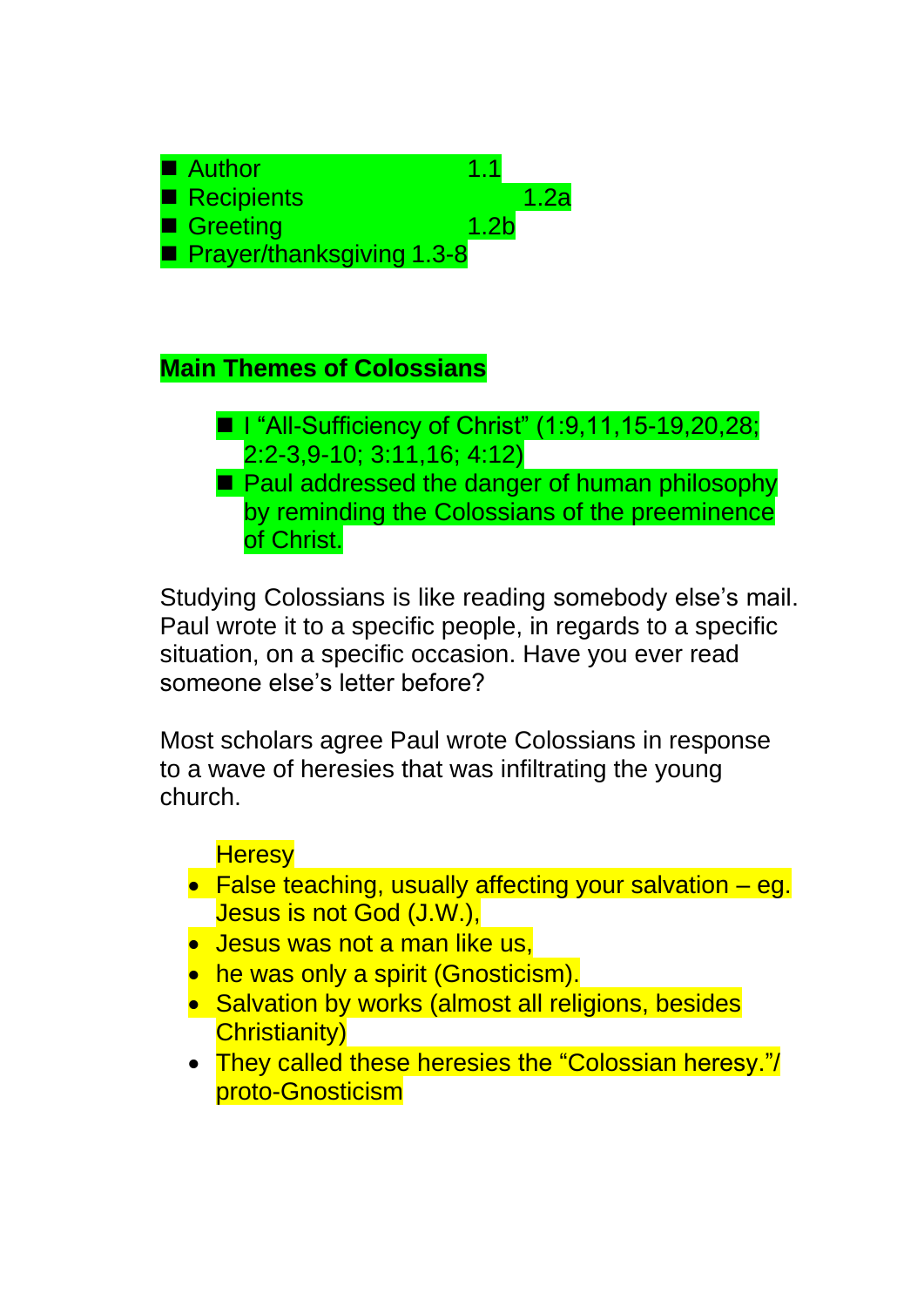

# **Main Themes of Colossians**

- I "All-Sufficiency of Christ" (1:9,11,15-19,20,28; 2:2-3,9-10; 3:11,16; 4:12)
- Paul addressed the danger of human philosophy by reminding the Colossians of the preeminence of Christ.

Studying Colossians is like reading somebody else's mail. Paul wrote it to a specific people, in regards to a specific situation, on a specific occasion. Have you ever read someone else's letter before?

Most scholars agree Paul wrote Colossians in response to a wave of heresies that was infiltrating the young church.

## **Heresy**

- False teaching, usually affecting your salvation eg. Jesus is not God (J.W.),
- Jesus was not a man like us.
- he was only a spirit (Gnosticism).
- Salvation by works (almost all religions, besides Christianity)
- They called these heresies the "Colossian heresy."/ proto-Gnosticism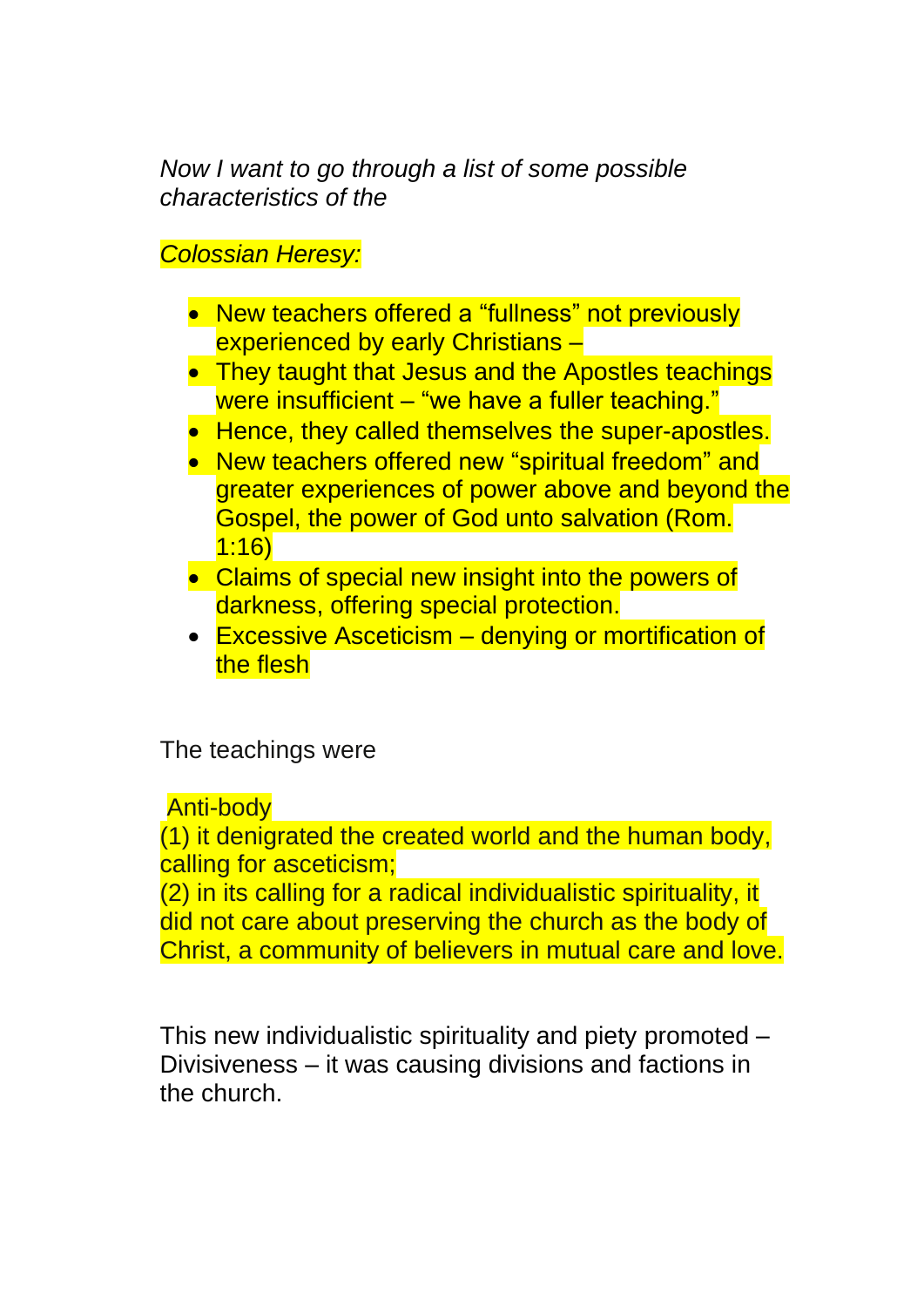*Now I want to go through a list of some possible characteristics of the* 

## *Colossian Heresy:*

- New teachers offered a "fullness" not previously experienced by early Christians –
- They taught that Jesus and the Apostles teachings were insufficient – "we have a fuller teaching."
- Hence, they called themselves the super-apostles.
- New teachers offered new "spiritual freedom" and greater experiences of power above and beyond the Gospel, the power of God unto salvation (Rom. 1:16)
- Claims of special new insight into the powers of darkness, offering special protection.
- Excessive Asceticism denying or mortification of the flesh

#### The teachings were

#### Anti-body

(1) it denigrated the created world and the human body, calling for asceticism;

(2) in its calling for a radical individualistic spirituality, it did not care about preserving the church as the body of Christ, a community of believers in mutual care and love.

This new individualistic spirituality and piety promoted – Divisiveness – it was causing divisions and factions in the church.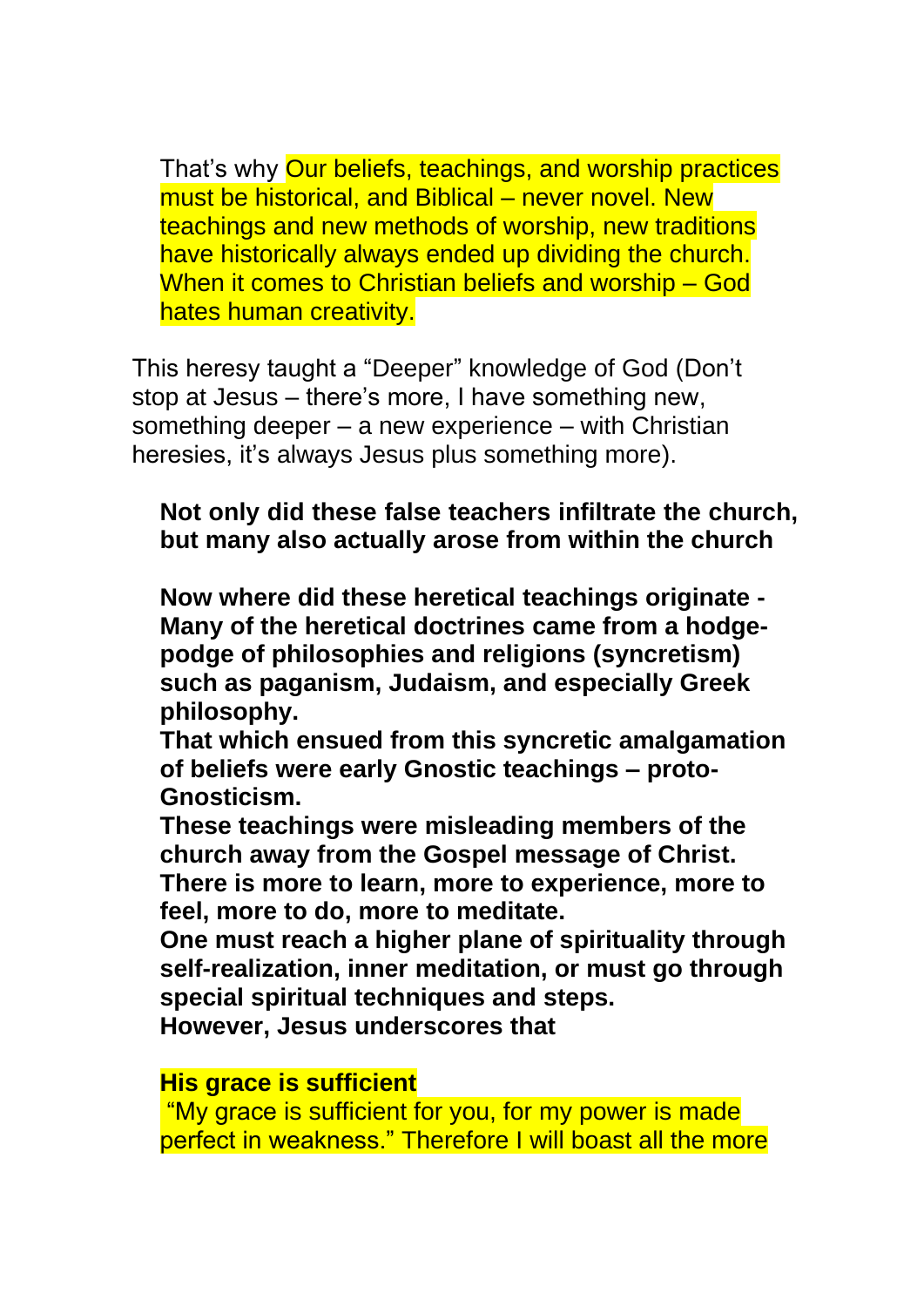That's why Our beliefs, teachings, and worship practices must be historical, and Biblical – never novel. New teachings and new methods of worship, new traditions have historically always ended up dividing the church. When it comes to Christian beliefs and worship – God hates human creativity.

This heresy taught a "Deeper" knowledge of God (Don't stop at Jesus – there's more, I have something new, something deeper – a new experience – with Christian heresies, it's always Jesus plus something more).

## **Not only did these false teachers infiltrate the church, but many also actually arose from within the church**

**Now where did these heretical teachings originate - Many of the heretical doctrines came from a hodgepodge of philosophies and religions (syncretism) such as paganism, Judaism, and especially Greek philosophy.**

**That which ensued from this syncretic amalgamation of beliefs were early Gnostic teachings – proto-Gnosticism.** 

**These teachings were misleading members of the church away from the Gospel message of Christ. There is more to learn, more to experience, more to feel, more to do, more to meditate.** 

**One must reach a higher plane of spirituality through self-realization, inner meditation, or must go through special spiritual techniques and steps.** 

**However, Jesus underscores that** 

#### **His grace is sufficient**

"My grace is sufficient for you, for my power is made perfect in weakness." Therefore I will boast all the more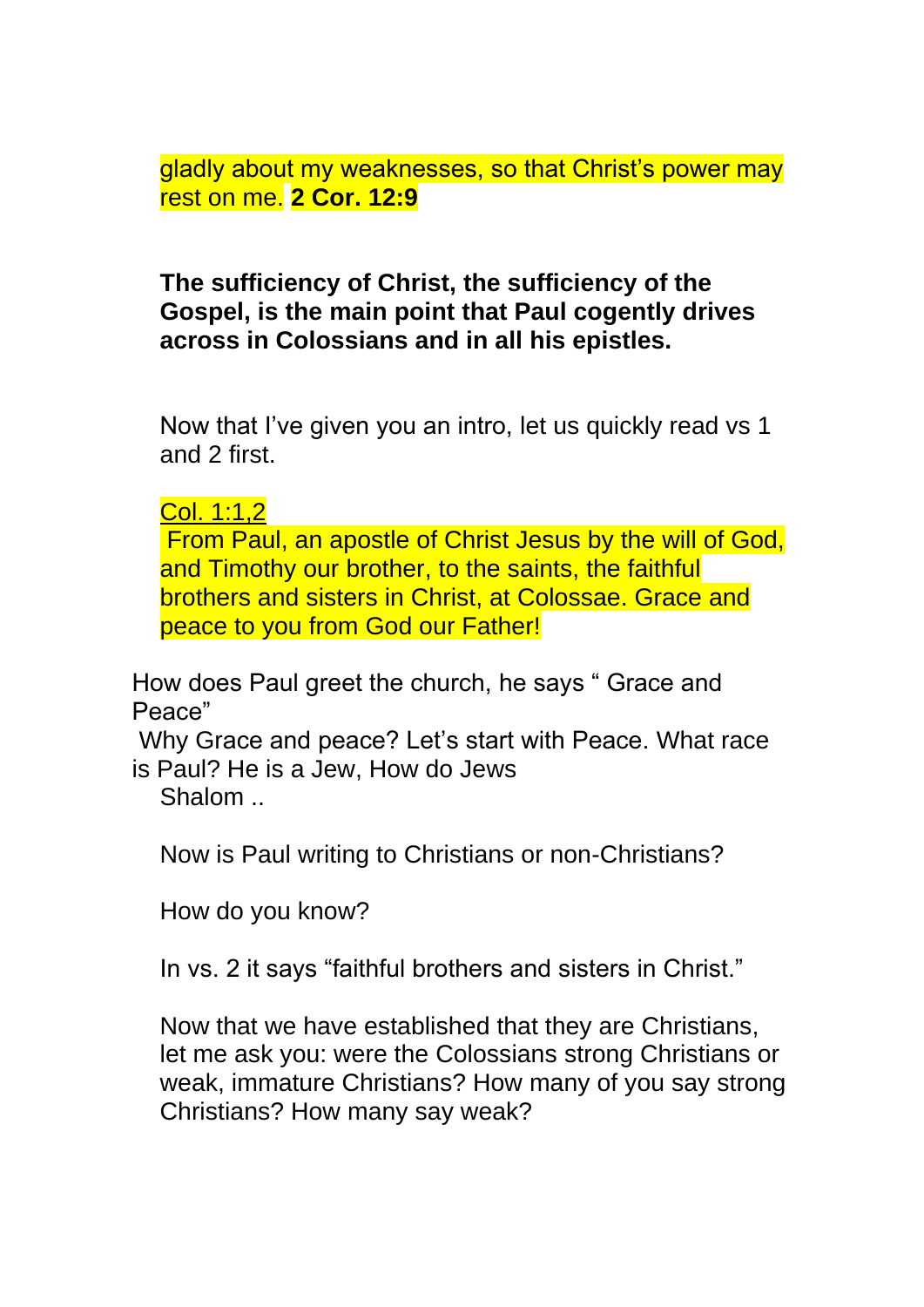gladly about my weaknesses, so that Christ's power may rest on me. **2 Cor. 12:9** 

## **The sufficiency of Christ, the sufficiency of the Gospel, is the main point that Paul cogently drives across in Colossians and in all his epistles.**

Now that I've given you an intro, let us quickly read vs 1 and 2 first.

Col. 1:1,2

From Paul, an apostle of Christ Jesus by the will of God, and Timothy our brother, to the saints, the faithful brothers and sisters in Christ, at Colossae. Grace and peace to you from God our Father!

How does Paul greet the church, he says " Grace and Peace"

Why Grace and peace? Let's start with Peace. What race is Paul? He is a Jew, How do Jews

Shalom ..

Now is Paul writing to Christians or non-Christians?

How do you know?

In vs. 2 it says "faithful brothers and sisters in Christ."

Now that we have established that they are Christians, let me ask you: were the Colossians strong Christians or weak, immature Christians? How many of you say strong Christians? How many say weak?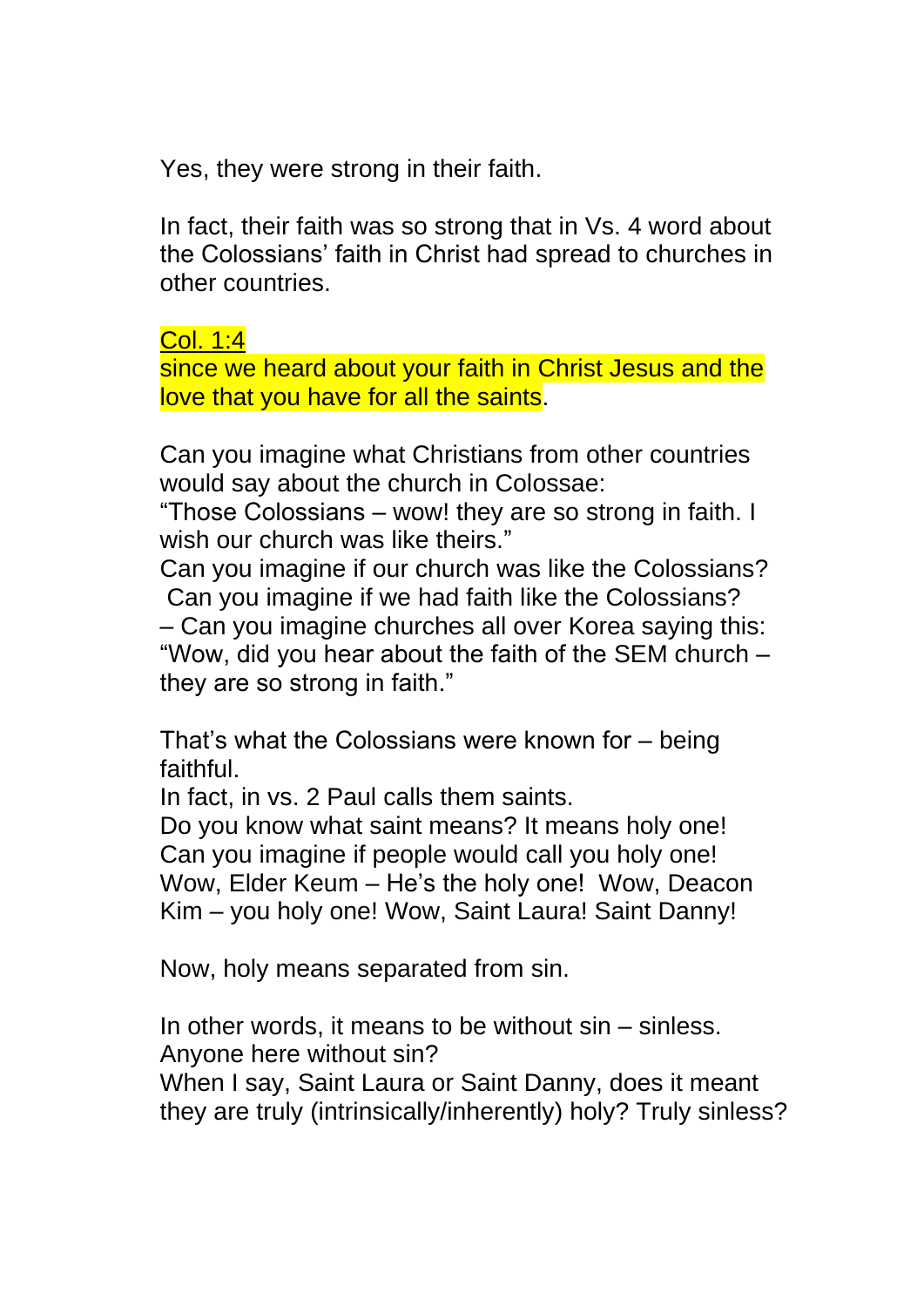Yes, they were strong in their faith.

In fact, their faith was so strong that in Vs. 4 word about the Colossians' faith in Christ had spread to churches in other countries.

### Col. 1:4

since we heard about your faith in Christ Jesus and the love that you have for all the saints.

Can you imagine what Christians from other countries would say about the church in Colossae:

"Those Colossians – wow! they are so strong in faith. I wish our church was like theirs."

Can you imagine if our church was like the Colossians? Can you imagine if we had faith like the Colossians?

– Can you imagine churches all over Korea saying this: "Wow, did you hear about the faith of the SEM church – they are so strong in faith."

That's what the Colossians were known for – being faithful.

In fact, in vs. 2 Paul calls them saints.

Do you know what saint means? It means holy one! Can you imagine if people would call you holy one! Wow, Elder Keum – He's the holy one! Wow, Deacon Kim – you holy one! Wow, Saint Laura! Saint Danny!

Now, holy means separated from sin.

In other words, it means to be without sin – sinless. Anyone here without sin?

When I say, Saint Laura or Saint Danny, does it meant they are truly (intrinsically/inherently) holy? Truly sinless?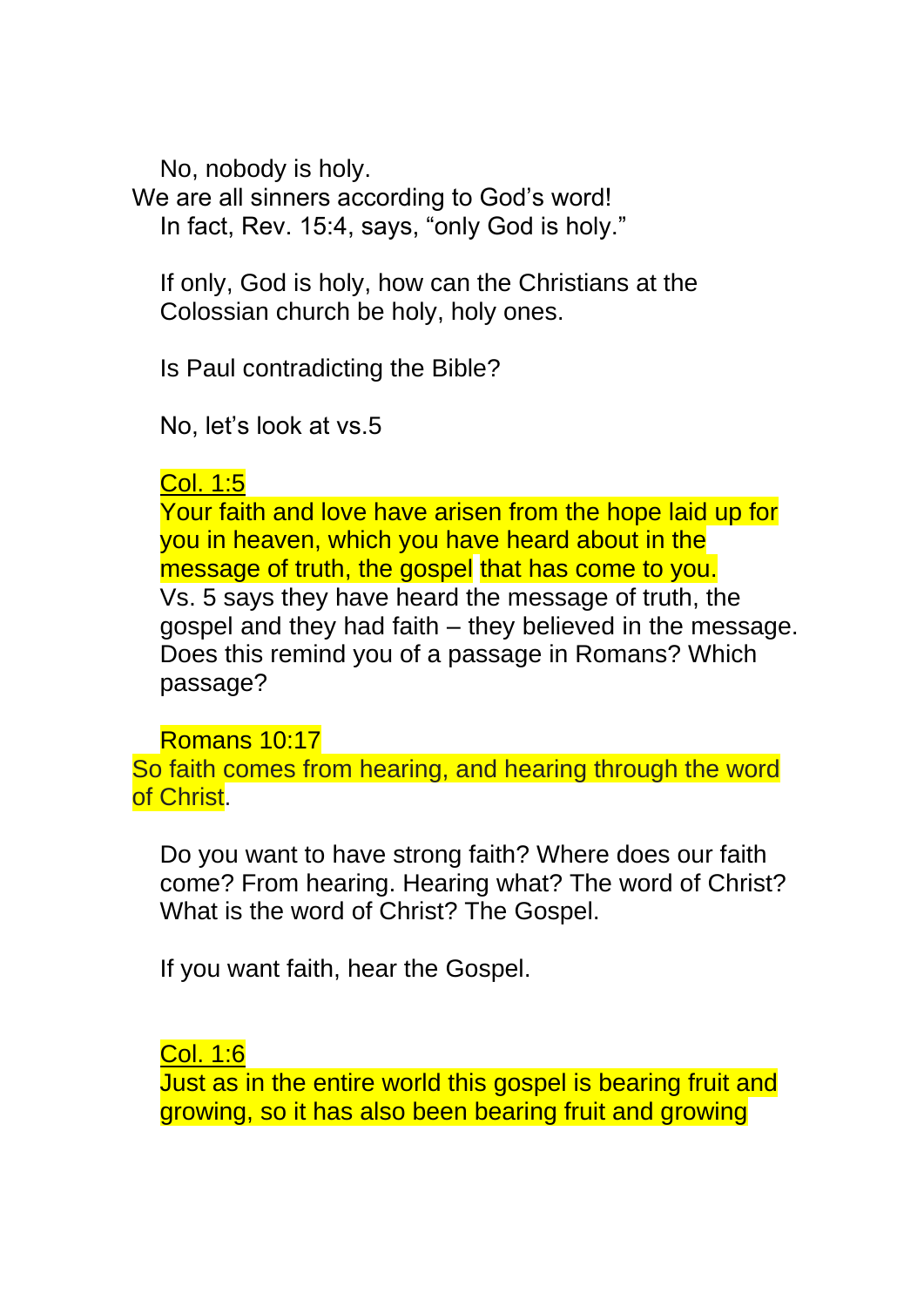No, nobody is holy.

We are all sinners according to God's word! In fact, Rev. 15:4, says, "only God is holy."

If only, God is holy, how can the Christians at the Colossian church be holy, holy ones.

Is Paul contradicting the Bible?

No, let's look at vs.5

## Col. 1:5

Your faith and love have arisen from the hope laid up for you in heaven, which you have heard about in the message of truth, the gospel that has come to you. Vs. 5 says they have heard the message of truth, the gospel and they had faith – they believed in the message. Does this remind you of a passage in Romans? Which passage?

Romans 10:17

So faith comes from hearing, and hearing through the word of Christ.

Do you want to have strong faith? Where does our faith come? From hearing. Hearing what? The word of Christ? What is the word of Christ? The Gospel.

If you want faith, hear the Gospel.

Col. 1:6

Just as in the entire world this gospel is bearing fruit and growing, so it has also been bearing fruit and growing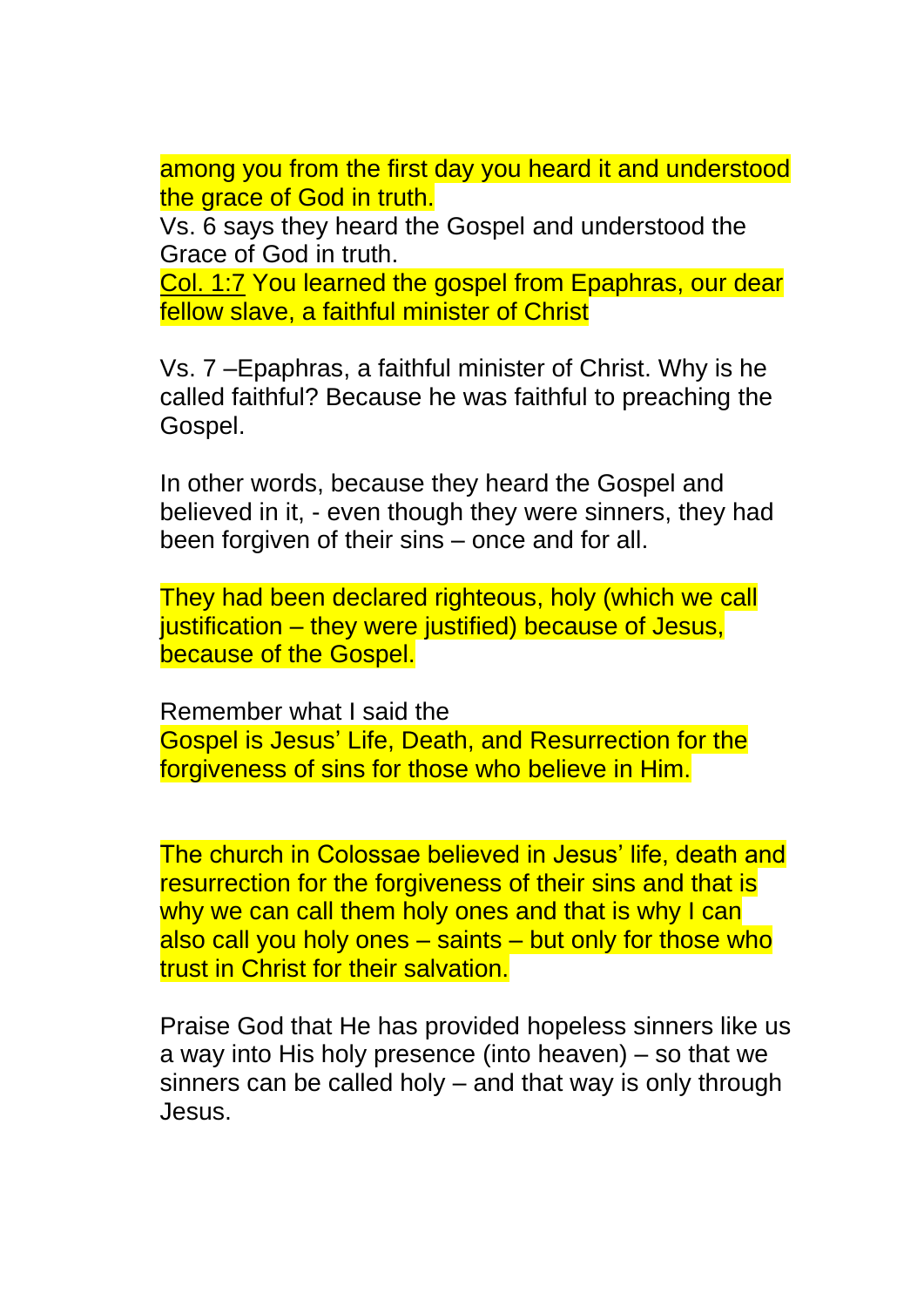among you from the first day you heard it and understood the grace of God in truth.

Vs. 6 says they heard the Gospel and understood the Grace of God in truth.

Col. 1:7 You learned the gospel from Epaphras, our dear fellow slave, a faithful minister of Christ

Vs. 7 –Epaphras, a faithful minister of Christ. Why is he called faithful? Because he was faithful to preaching the Gospel.

In other words, because they heard the Gospel and believed in it, - even though they were sinners, they had been forgiven of their sins – once and for all.

They had been declared righteous, holy (which we call justification – they were justified) because of Jesus, because of the Gospel.

Remember what I said the Gospel is Jesus' Life, Death, and Resurrection for the forgiveness of sins for those who believe in Him.

The church in Colossae believed in Jesus' life, death and resurrection for the forgiveness of their sins and that is why we can call them holy ones and that is why I can also call you holy ones – saints – but only for those who trust in Christ for their salvation.

Praise God that He has provided hopeless sinners like us a way into His holy presence (into heaven) – so that we sinners can be called holy – and that way is only through Jesus.